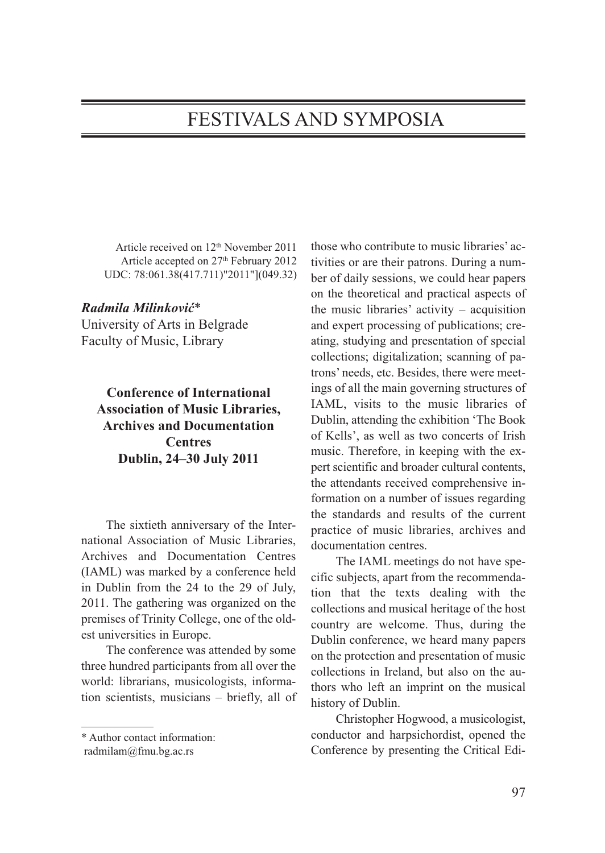## FESTIVALS AND SYMPOSIA

Article received on 12th November 2011 Article accepted on 27<sup>th</sup> February 2012 UDC: 78:061.38(417.711)"2011"](049.32)

## *Radmila Milinković*\*

University of Arts in Belgrade Faculty of Music, Library

**Conference of International Association of Music Libraries, Archives and Documentation Centres Dublin, 24–30 July 2011**

The sixtieth anniversary of the International Association of Music Libraries, Archives and Documentation Centres (IAML) was marked by a conference held in Dublin from the 24 to the 29 of July, 2011. The gathering was organized on the premises of Trinity College, one of the oldest universities in Europe.

The conference was attended by some three hundred participants from all over the world: librarians, musicologists, information scientists, musicians – briefly, all of those who contribute to music libraries' activities or are their patrons. During a number of daily sessions, we could hear papers on the theoretical and practical aspects of the music libraries' activity – acquisition and expert processing of publications; creating, studying and presentation of special collections; digitalization; scanning of patrons' needs, etc. Besides, there were meetings of all the main governing structures of IAML, visits to the music libraries of Dublin, attending the exhibition 'The Book of Kells', as well as two concerts of Irish music. Therefore, in keeping with the expert scientific and broader cultural contents, the attendants received comprehensive information on a number of issues regarding the standards and results of the current practice of music libraries, archives and documentation centres.

The IAML meetings do not have specific subjects, apart from the recommendation that the texts dealing with the collections and musical heritage of the host country are welcome. Thus, during the Dublin conference, we heard many papers on the protection and presentation of music collections in Ireland, but also on the authors who left an imprint on the musical history of Dublin.

Christopher Hogwood, a musicologist, conductor and harpsichordist, opened the Conference by presenting the Critical Edi-

<sup>\*</sup> Author contact information:

radmilam@fmu.bg.ac.rs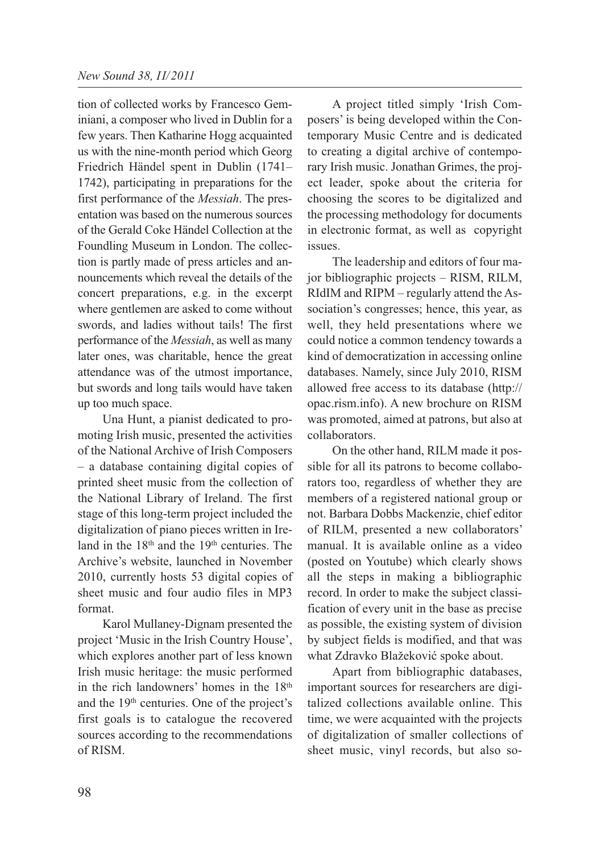tion of collected works by Francesco Geminiani, a composer who lived in Dublin for a few years. Then Katharine Hogg acquainted us with the nine-month period which Georg Friedrich Händel spent in Dublin (1741– 1742), participating in preparations for the first performance of the *Messiah*. The presentation was based on the numerous sources of the Gerald Coke Händel Collection at the Foundling Museum in London. The collection is partly made of press articles and announcements which reveal the details of the concert preparations, e.g. in the excerpt where gentlemen are asked to come without swords, and ladies without tails! The first performance of the *Messiah*, as well as many later ones, was charitable, hence the great attendance was of the utmost importance, but swords and long tails would have taken up too much space.

Una Hunt, a pianist dedicated to promoting Irish music, presented the activities of the National Archive of Irish Composers – a database containing digital copies of printed sheet music from the collection of the National Library of Ireland. The first stage of this long-term project included the digitalization of piano pieces written in Ireland in the  $18<sup>th</sup>$  and the  $19<sup>th</sup>$  centuries. The Archive's website, launched in November 2010, currently hosts 53 digital copies of sheet music and four audio files in MP3 format.

Karol Mullaney-Dignam presented the project 'Music in the Irish Country House', which explores another part of less known Irish music heritage: the music performed in the rich landowners' homes in the 18<sup>th</sup> and the 19th centuries. One of the project's first goals is to catalogue the recovered sources according to the recommendations of RISM.

A project titled simply 'Irish Composers' is being developed within the Contemporary Music Centre and is dedicated to creating a digital archive of contemporary Irish music. Jonathan Grimes, the project leader, spoke about the criteria for choosing the scores to be digitalized and the processing methodology for documents in electronic format, as well as copyright issues.

The leadership and editors of four major bibliographic projects – RISM, RILM, RIdIM and RIPM – regularly attend the Association's congresses; hence, this year, as well, they held presentations where we could notice a common tendency towards a kind of democratization in accessing online databases. Namely, since July 2010, RISM allowed free access to its database (http:// opac.rism.info). A new brochure on RISM was promoted, aimed at patrons, but also at collaborators.

On the other hand, RILM made it possible for all its patrons to become collaborators too, regardless of whether they are members of a registered national group or not. Barbara Dobbs Mackenzie, chief editor of RILM, presented a new collaborators' manual. It is available online as a video (posted on Youtube) which clearly shows all the steps in making a bibliographic record. In order to make the subject classification of every unit in the base as precise as possible, the existing system of division by subject fields is modified, and that was what Zdravko Blažeković spoke about.

Apart from bibliographic databases, important sources for researchers are digitalized collections available online. This time, we were acquainted with the projects of digitalization of smaller collections of sheet music, vinyl records, but also so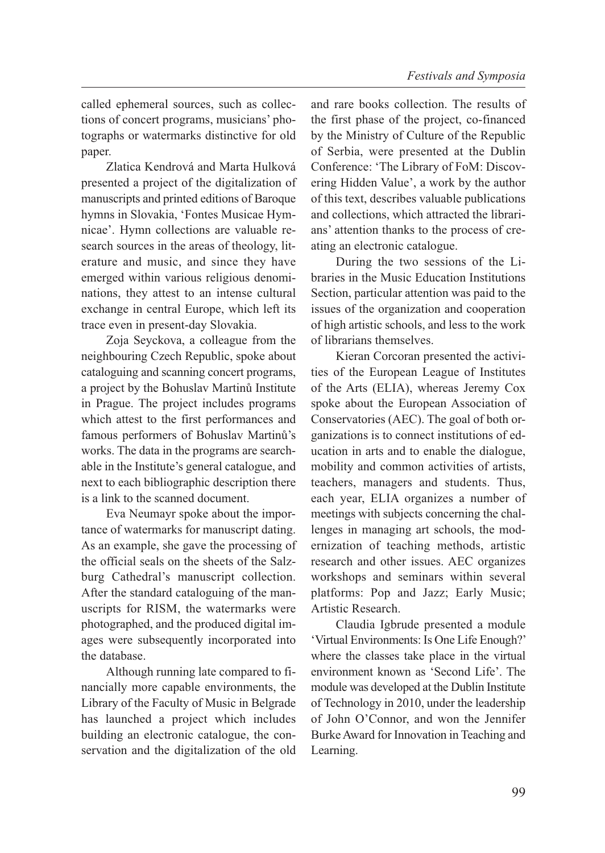called ephemeral sources, such as collections of concert programs, musicians' photographs or watermarks distinctive for old paper.

Zlatica Kendrová and Marta Hulková presented a project of the digitalization of manuscripts and printed editions of Baroque hymns in Slovakia, 'Fontes Musicae Hymnicae'. Hymn collections are valuable research sources in the areas of theology, literature and music, and since they have emerged within various religious denominations, they attest to an intense cultural exchange in central Europe, which left its trace even in present-day Slovakia.

Zoja Seyckova, a colleague from the neighbouring Czech Republic, spoke about cataloguing and scanning concert programs, a project by the Bohuslav Martinů Institute in Prague. The project includes programs which attest to the first performances and famous performers of Bohuslav Martinů's works. The data in the programs are searchable in the Institute's general catalogue, and next to each bibliographic description there is a link to the scanned document.

Eva Neumayr spoke about the importance of watermarks for manuscript dating. As an example, she gave the processing of the official seals on the sheets of the Salzburg Cathedral's manuscript collection. After the standard cataloguing of the manuscripts for RISM, the watermarks were photographed, and the produced digital images were subsequently incorporated into the database.

Although running late compared to financially more capable environments, the Library of the Faculty of Music in Belgrade has launched a project which includes building an electronic catalogue, the conservation and the digitalization of the old

and rare books collection. The results of the first phase of the project, co-financed by the Ministry of Culture of the Republic of Serbia, were presented at the Dublin Conference: 'The Library of FoM: Discovering Hidden Value', a work by the author of this text, describes valuable publications and collections, which attracted the librarians' attention thanks to the process of creating an electronic catalogue.

During the two sessions of the Libraries in the Music Education Institutions Section, particular attention was paid to the issues of the organization and cooperation of high artistic schools, and less to the work of librarians themselves.

Kieran Corcoran presented the activities of the European League of Institutes of the Arts (ELIA), whereas Jeremy Cox spoke about the European Association of Conservatories (AEC). The goal of both organizations is to connect institutions of education in arts and to enable the dialogue, mobility and common activities of artists, teachers, managers and students. Thus, each year, ELIA organizes a number of meetings with subjects concerning the challenges in managing art schools, the modernization of teaching methods, artistic research and other issues. AEC organizes workshops and seminars within several platforms: Pop and Jazz; Early Music; Artistic Research.

Claudia Igbrude presented a module 'Virtual Environments: Is One Life Enough?' where the classes take place in the virtual environment known as 'Second Life'. The module was developed at the Dublin Institute of Technology in 2010, under the leadership of John O'Connor, and won the Jennifer Burke Award for Innovation in Teaching and Learning.